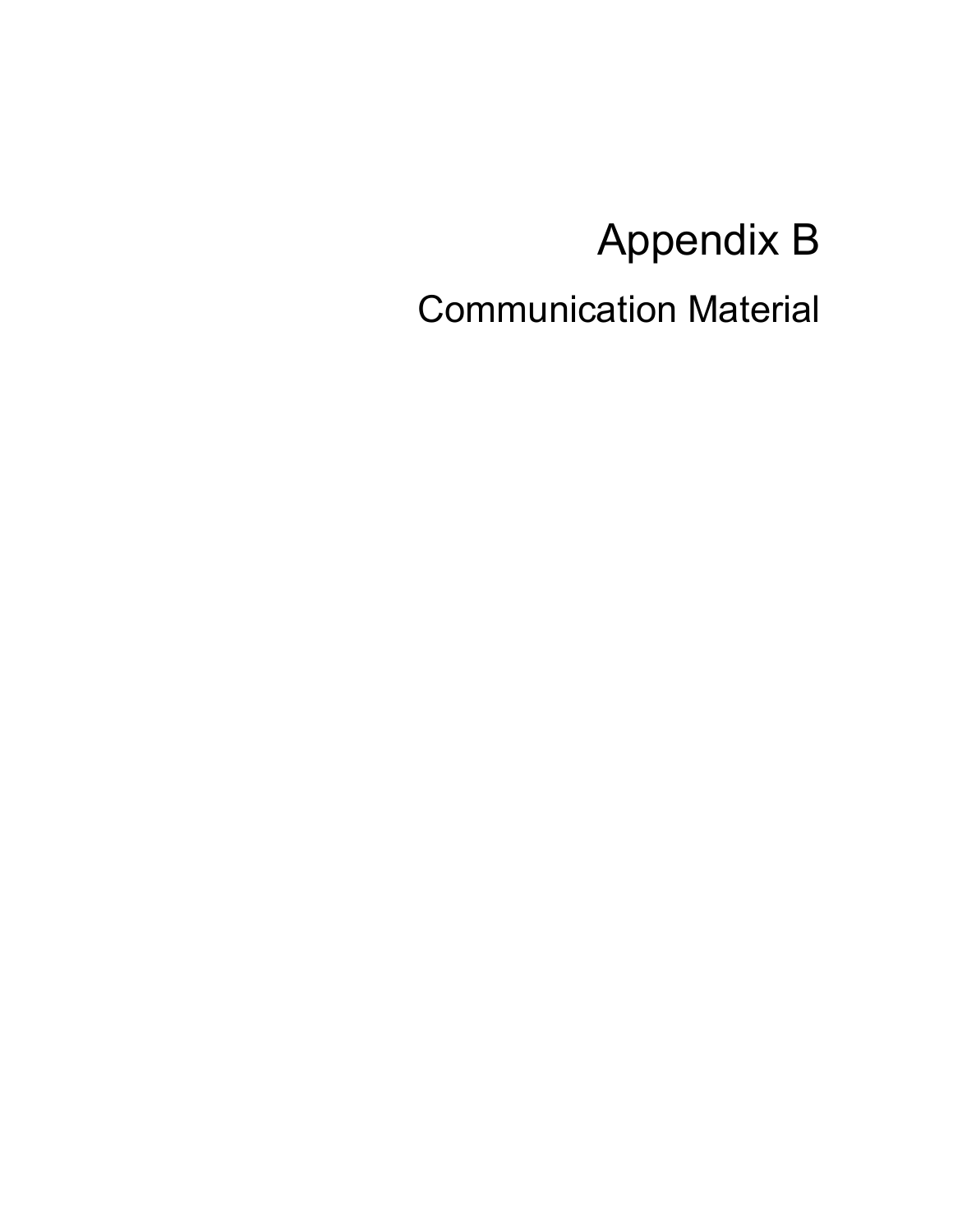### Appendix B

Communication Material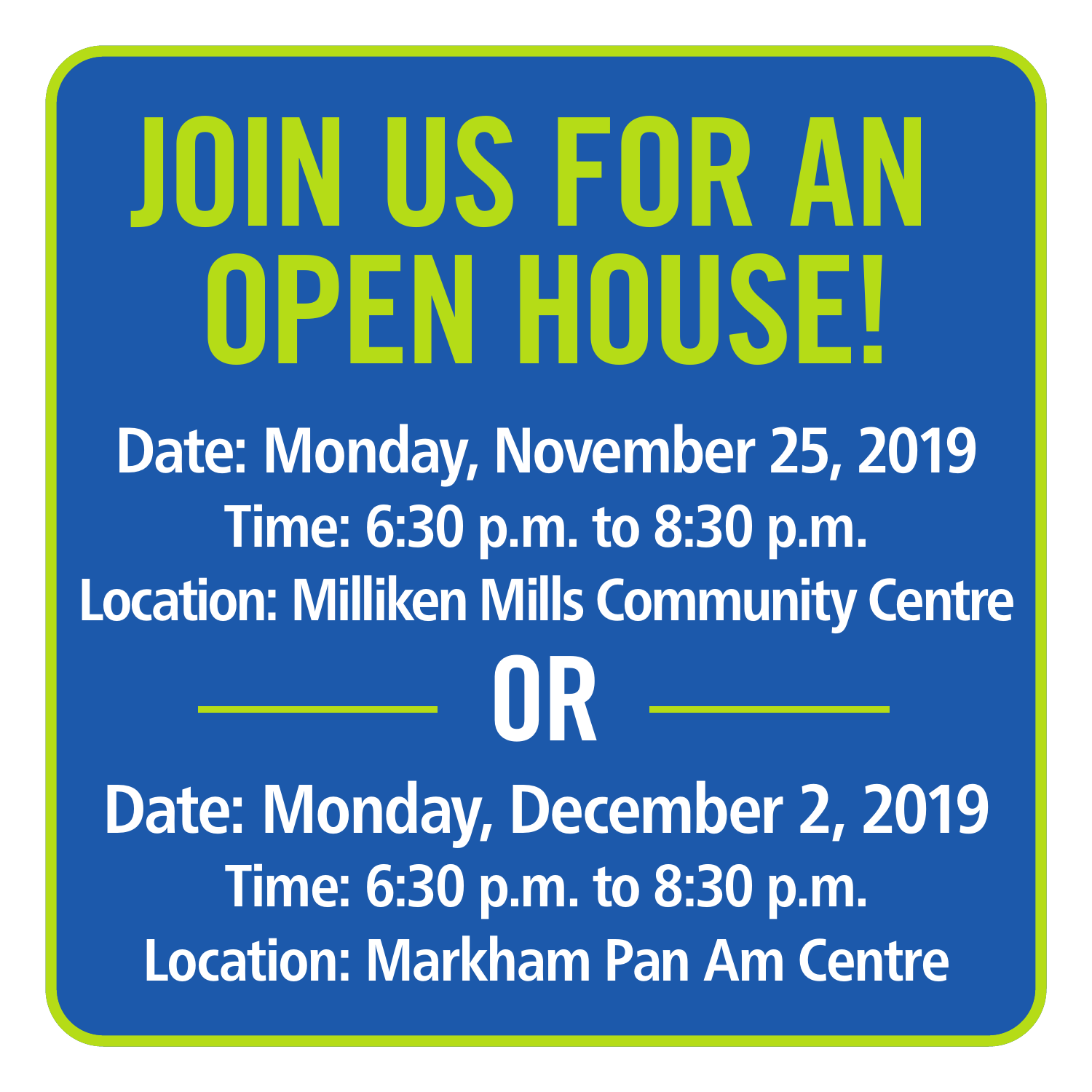# **Date: Monday, November 25, 2019**

## **Time: 6:30 p.m. to 8:30 p.m.**

# **Location: Milliken Mills Community Centre**

# **Date: Monday, December 2, 2019**

## **Time: 6:30 p.m. to 8:30 p.m.**

### **Location: Markham Pan Am Centre**





# OPEN HOUSE!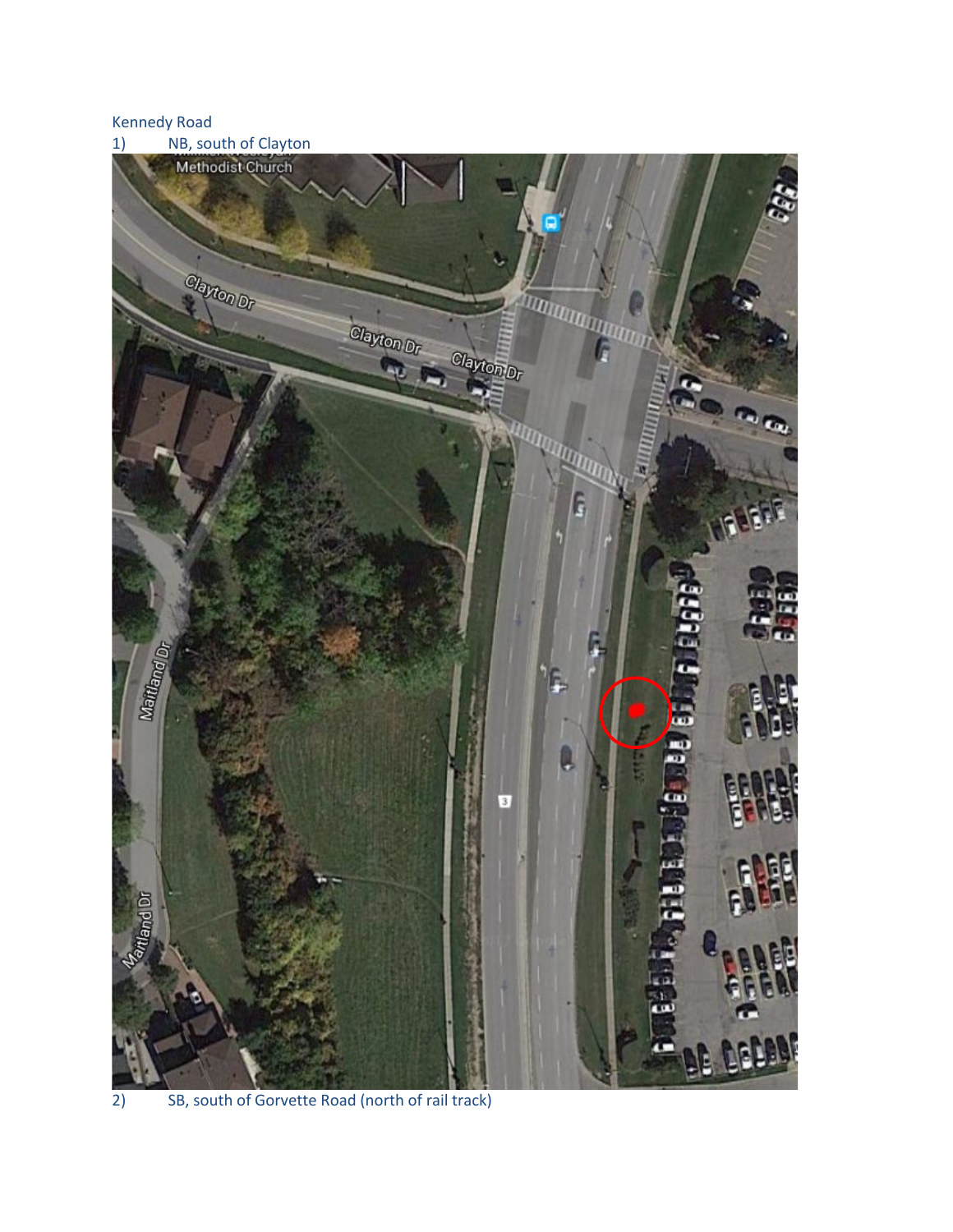### Kennedy Road



2) SB, south of Gorvette Road (north of rail track)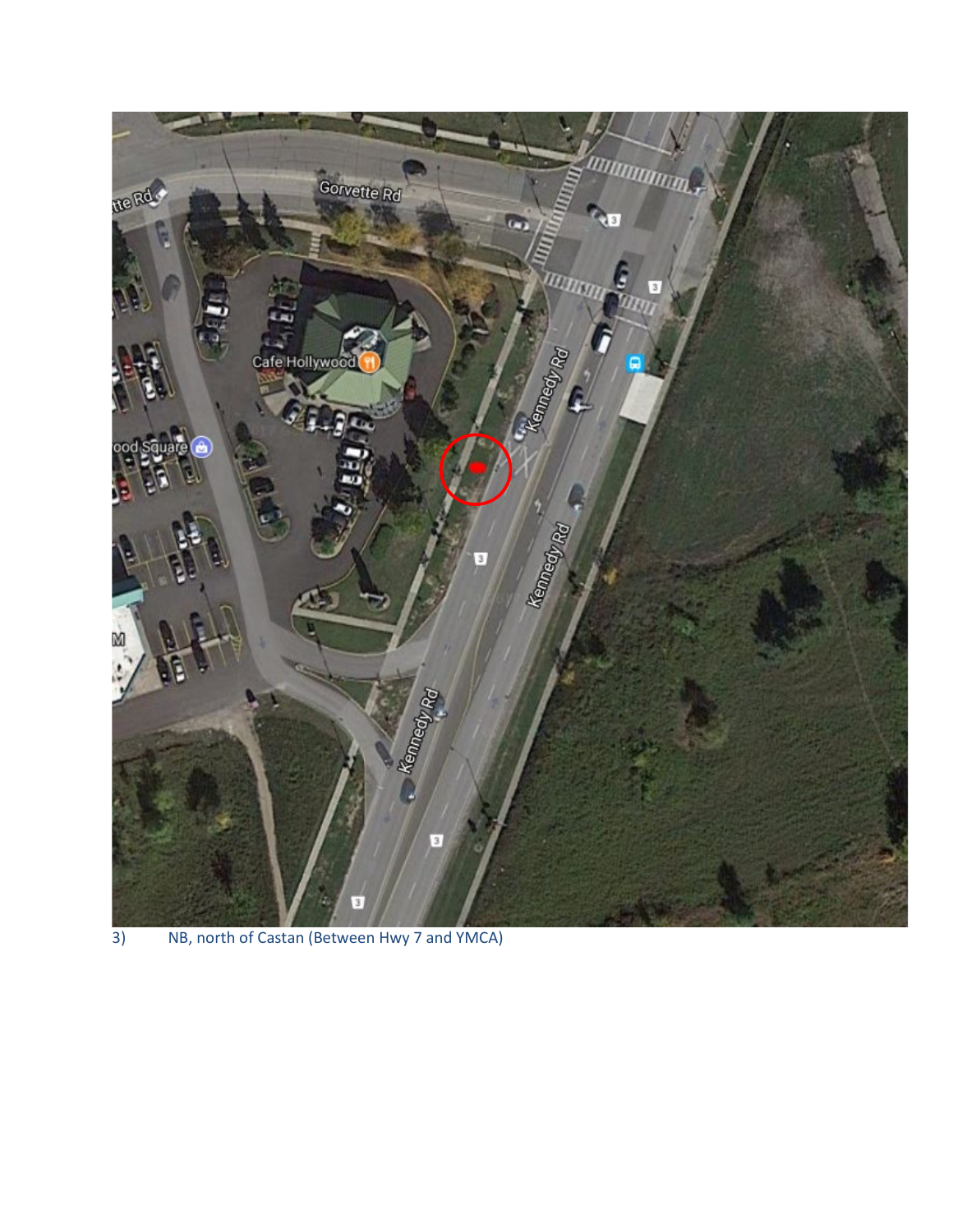

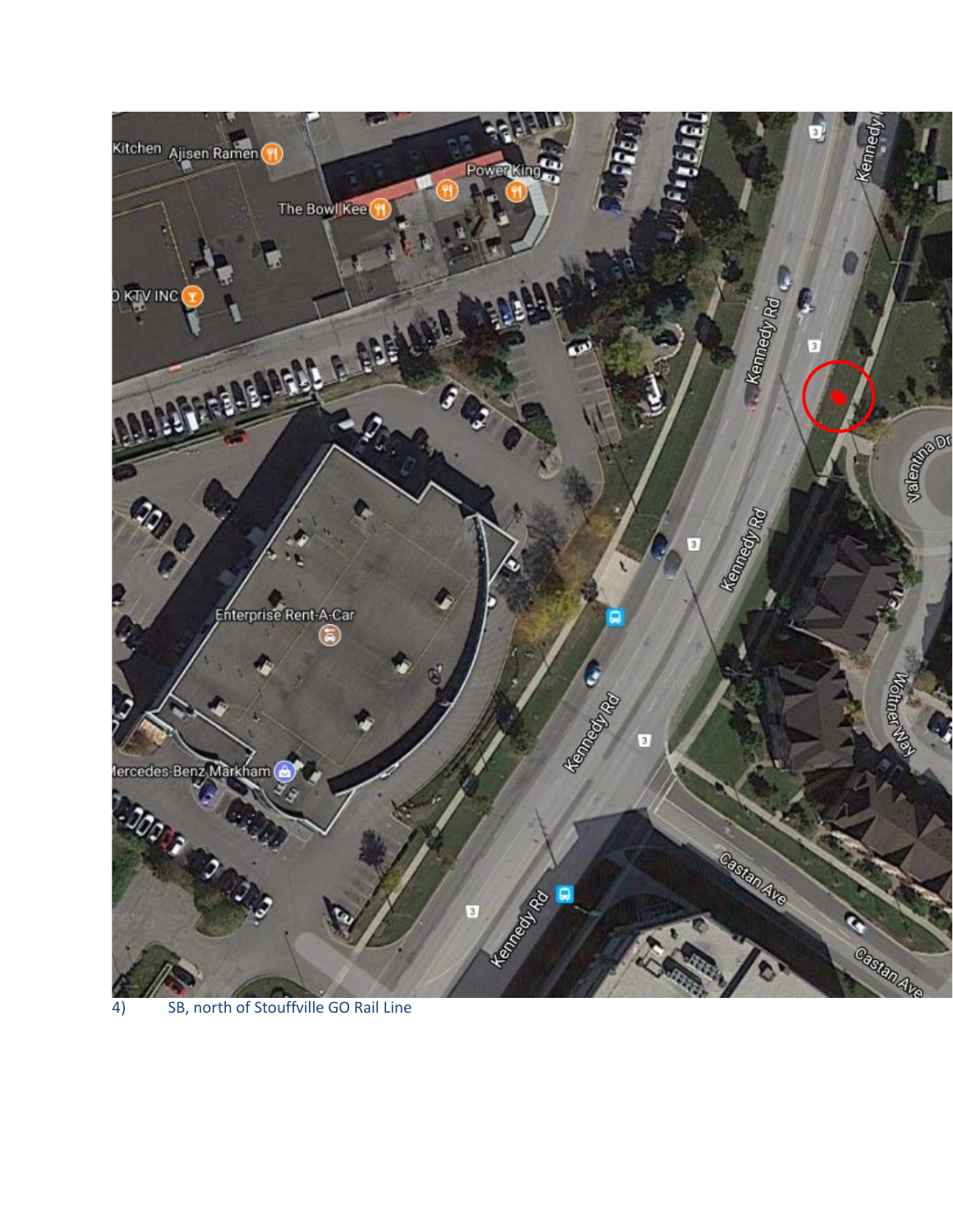

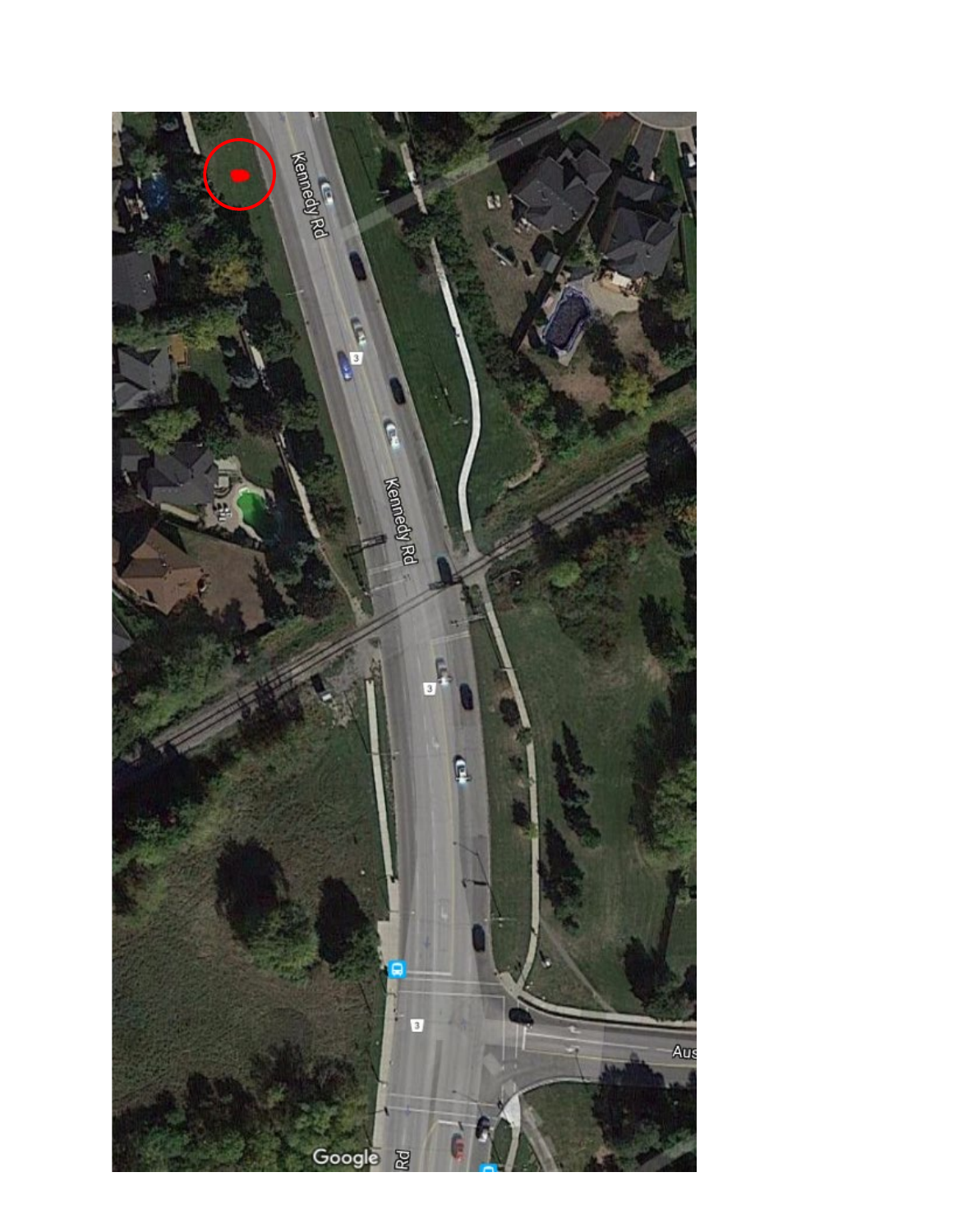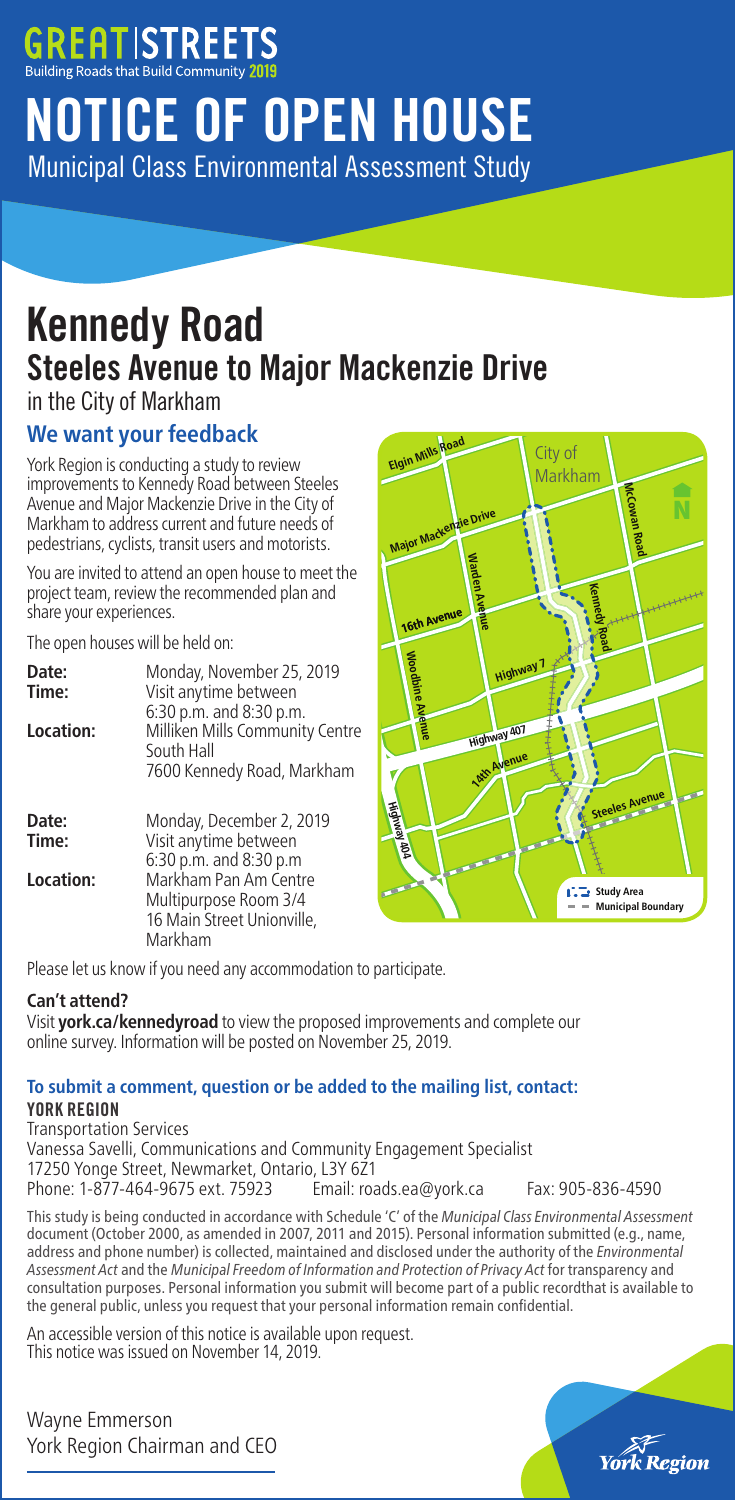

### Municipal Class Environmental Assessment Study NOTICE OF OPEN HOUSE

### Kennedy Road Steeles Avenue to Major Mackenzie Drive

in the City of Markham

### **We want your feedback**

York Region is conducting a study to review improvements to Kennedy Road between Steeles Avenue and Major Mackenzie Drive in the City of Markham to address current and future needs of pedestrians, cyclists, transit users and motorists.

You are invited to attend an open house to meet the project team, review the recommended plan and share your experiences.

The open houses will be held on:

| Date:<br>Time: | Monday, November 25, 2019<br>Visit anytime between<br>6:30 p.m. and 8:30 p.m. |
|----------------|-------------------------------------------------------------------------------|
| Location:      | Milliken Mills Community Centre<br>South Hall<br>7600 Kennedy Road, Markham   |
|                |                                                                               |
| Date:<br>Time: | Monday, December 2, 2019<br>Visit anytime between                             |
|                | 6:30 p.m. and 8:30 p.m                                                        |
| Location:      | Markham Pan Am Centre                                                         |
|                | Multipurpose Room 3/4                                                         |
|                | 16 Main Street Unionville,                                                    |
|                | Markham                                                                       |



Please let us know if you need any accommodation to participate.

### **Can't attend?**

Visit **york.ca/kennedyroad** to view the proposed improvements and complete our online survey. Information will be posted on November 25, 2019.

### **To submit a comment, question or be added to the mailing list, contact:**

YORK REGION

Transportation Services

Vanessa Savelli, Communications and Community Engagement Specialist 17250 Yonge Street, Newmarket, Ontario, L3Y 621<br>Phone: 1-877-464-9675 ext. 75923 Email: roads.ea@york.ca Phone: 1-877-464-9675 ext. 75923 Email: roads.ea@york.ca Fax: 905-836-4590

This study is being conducted in accordance with Schedule 'C' of the *Municipal Class Environmental Assessment* document (October 2000, as amended in 2007, 2011 and 2015). Personal information submitted (e.g., name, address and phone number) is collected, maintained and disclosed under the authority of the *Environmental Assessment Act* and the *Municipal Freedom of Information and Protection of Privacy Act* for transparency and consultation purposes. Personal information you submit will become part of a public recordthat is available to the general public, unless you request that your personal information remain confidential.

An accessible version of this notice is available upon request. This notice was issued on November 14, 2019.

Wayne Emmerson York Region Chairman and CEO